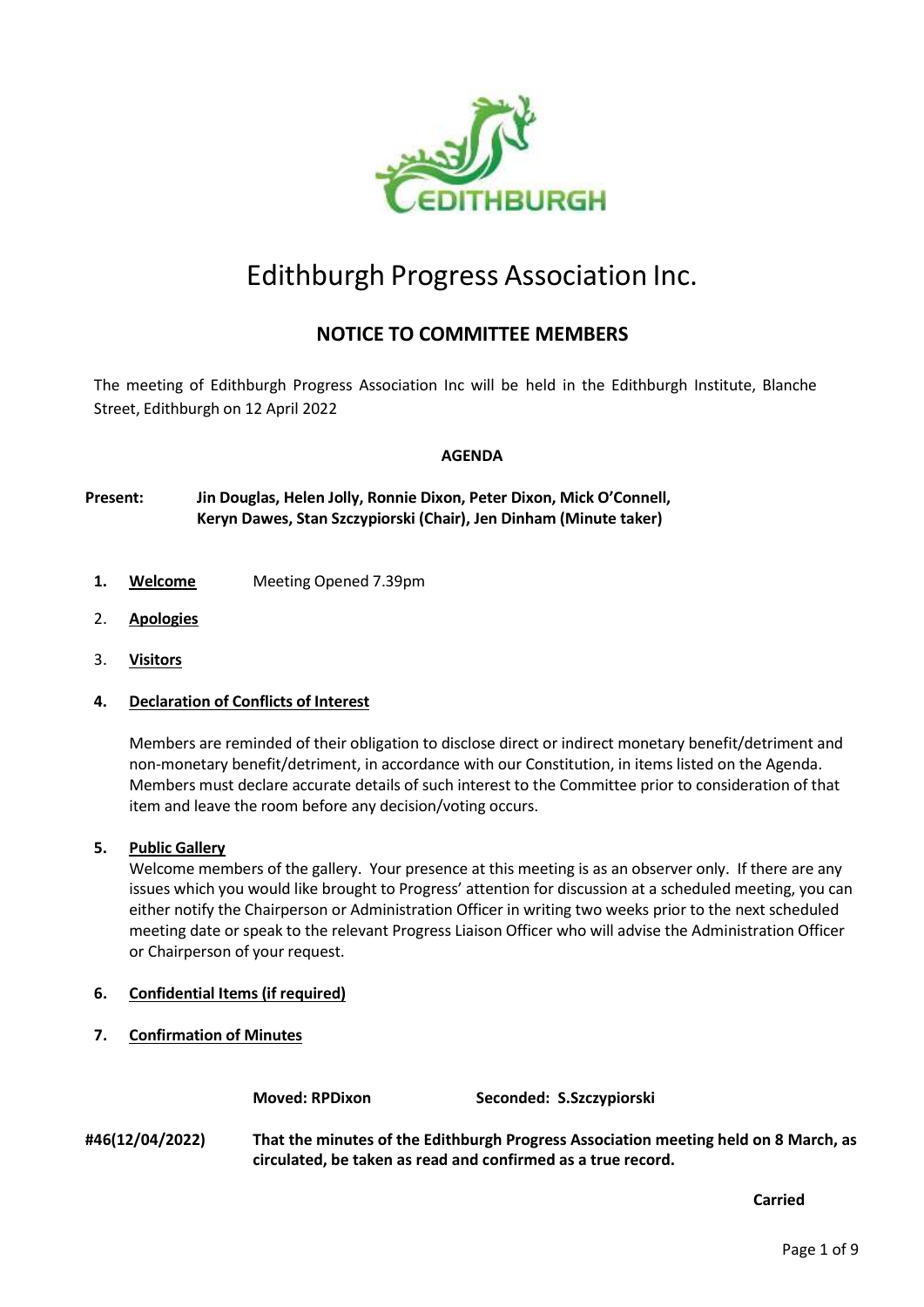

# Edithburgh Progress Association Inc.

# **NOTICE TO COMMITTEE MEMBERS**

The meeting of Edithburgh Progress Association Inc will be held in the Edithburgh Institute, Blanche Street, Edithburgh on 12 April 2022

# **AGENDA**

**Present: Jin Douglas, Helen Jolly, Ronnie Dixon, Peter Dixon, Mick O'Connell, Keryn Dawes, Stan Szczypiorski (Chair), Jen Dinham (Minute taker)**

- **1. Welcome** Meeting Opened 7.39pm
- 2. **Apologies**
- 3. **Visitors**

# **4. Declaration of Conflicts of Interest**

Members are reminded of their obligation to disclose direct or indirect monetary benefit/detriment and non-monetary benefit/detriment, in accordance with our Constitution, in items listed on the Agenda. Members must declare accurate details of such interest to the Committee prior to consideration of that item and leave the room before any decision/voting occurs.

# **5. Public Gallery**

Welcome members of the gallery. Your presence at this meeting is as an observer only. If there are any issues which you would like brought to Progress' attention for discussion at a scheduled meeting, you can either notify the Chairperson or Administration Officer in writing two weeks prior to the next scheduled meeting date or speak to the relevant Progress Liaison Officer who will advise the Administration Officer or Chairperson of your request.

- **6. Confidential Items (if required)**
- **7. Confirmation of Minutes**

**Moved: RPDixon Seconded: S.Szczypiorski**

**#46(12/04/2022) That the minutes of the Edithburgh Progress Association meeting held on 8 March, as circulated, be taken as read and confirmed as a true record.**

**Carried**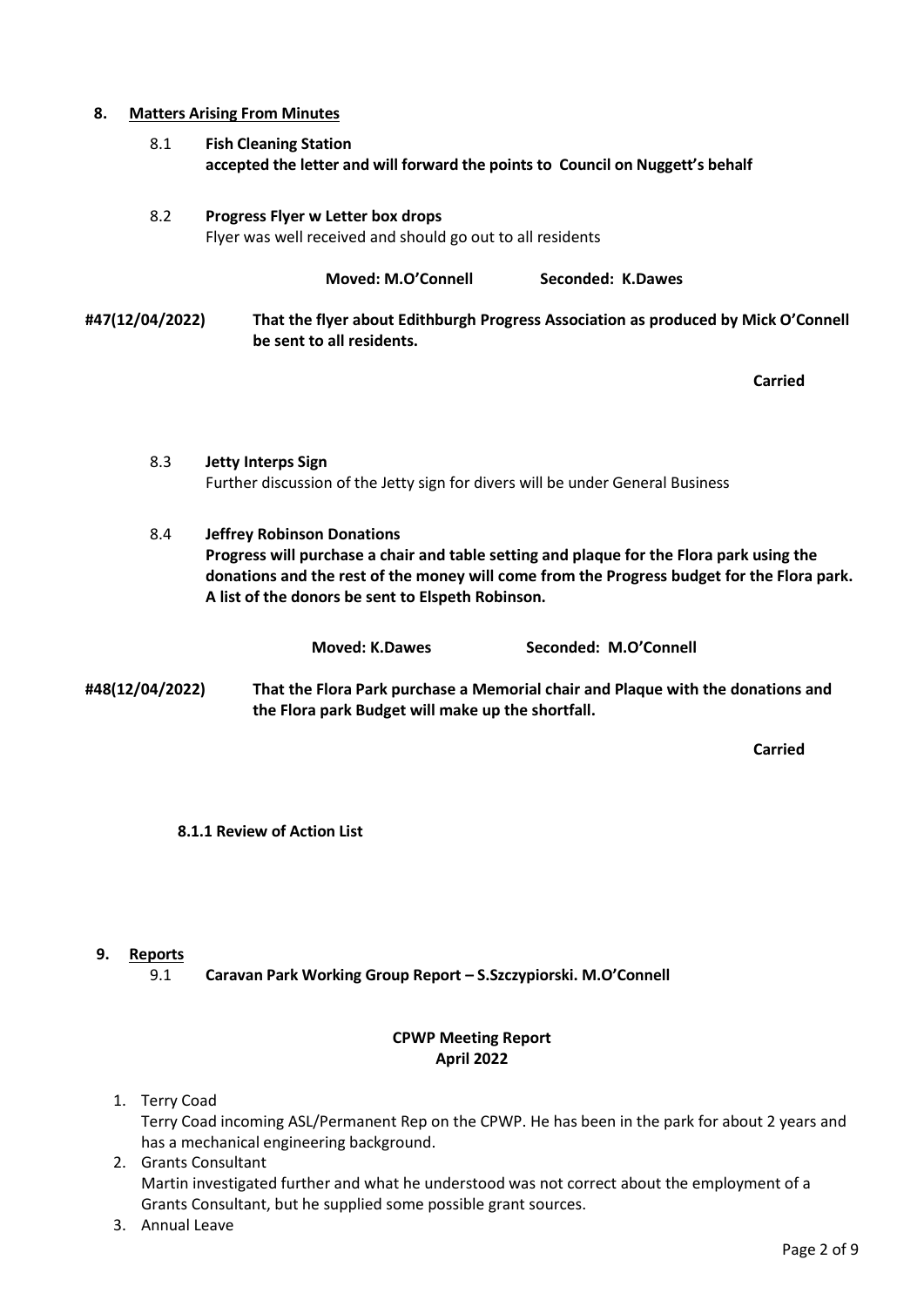### **8. Matters Arising From Minutes**

8.1 **Fish Cleaning Station accepted the letter and will forward the points to Council on Nuggett's behalf**

# 8.2 **Progress Flyer w Letter box drops** Flyer was well received and should go out to all residents

**Moved: M.O'Connell Seconded: K.Dawes #47(12/04/2022) That the flyer about Edithburgh Progress Association as produced by Mick O'Connell be sent to all residents.**

**Carried**

- 8.3 **Jetty Interps Sign** Further discussion of the Jetty sign for divers will be under General Business
- 8.4 **Jeffrey Robinson Donations Progress will purchase a chair and table setting and plaque for the Flora park using the donations and the rest of the money will come from the Progress budget for the Flora park. A list of the donors be sent to Elspeth Robinson.**

|                 | <b>Moved: K.Dawes</b>                             | Seconded: M.O'Connell                                                           |
|-----------------|---------------------------------------------------|---------------------------------------------------------------------------------|
| #48(12/04/2022) | the Flora park Budget will make up the shortfall. | That the Flora Park purchase a Memorial chair and Plaque with the donations and |

**Carried**

# **8.1.1 Review of Action List**

# **9. Reports**

9.1 **Caravan Park Working Group Report – S.Szczypiorski. M.O'Connell**

### **CPWP Meeting Report April 2022**

- 1. Terry Coad Terry Coad incoming ASL/Permanent Rep on the CPWP. He has been in the park for about 2 years and has a mechanical engineering background.
- 2. Grants Consultant Martin investigated further and what he understood was not correct about the employment of a Grants Consultant, but he supplied some possible grant sources.
- 3. Annual Leave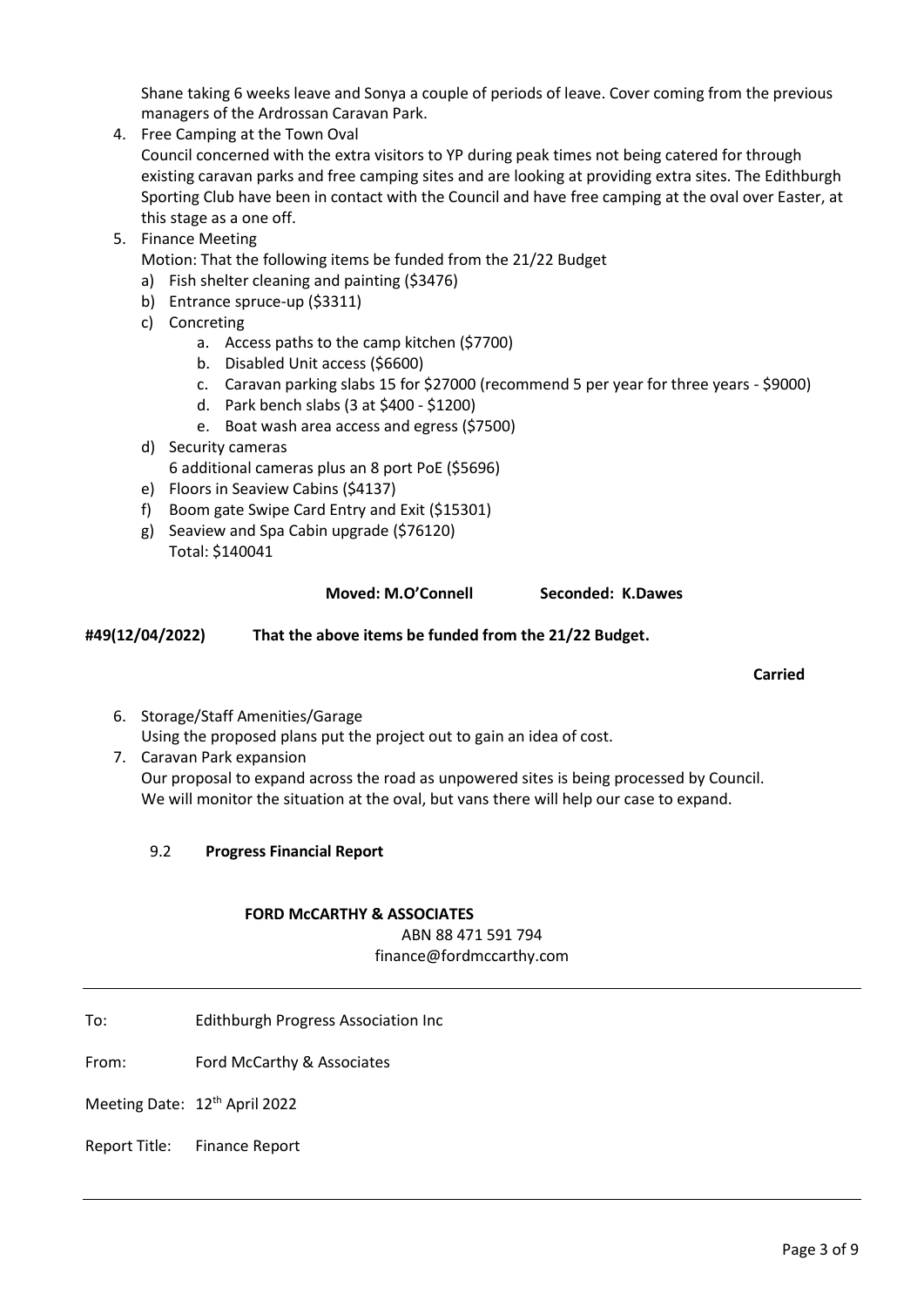Shane taking 6 weeks leave and Sonya a couple of periods of leave. Cover coming from the previous managers of the Ardrossan Caravan Park.

4. Free Camping at the Town Oval

Council concerned with the extra visitors to YP during peak times not being catered for through existing caravan parks and free camping sites and are looking at providing extra sites. The Edithburgh Sporting Club have been in contact with the Council and have free camping at the oval over Easter, at this stage as a one off.

5. Finance Meeting

Motion: That the following items be funded from the 21/22 Budget

- a) Fish shelter cleaning and painting (\$3476)
- b) Entrance spruce-up (\$3311)
- c) Concreting
	- a. Access paths to the camp kitchen (\$7700)
	- b. Disabled Unit access (\$6600)
	- c. Caravan parking slabs 15 for \$27000 (recommend 5 per year for three years \$9000)
	- d. Park bench slabs (3 at \$400 \$1200)
	- e. Boat wash area access and egress (\$7500)
- d) Security cameras 6 additional cameras plus an 8 port PoE (\$5696)
- e) Floors in Seaview Cabins (\$4137)
- f) Boom gate Swipe Card Entry and Exit (\$15301)
- g) Seaview and Spa Cabin upgrade (\$76120)
- Total: \$140041

### **Moved: M.O'Connell Seconded: K.Dawes**

**#49(12/04/2022) That the above items be funded from the 21/22 Budget.**

### **Carried**

- 6. Storage/Staff Amenities/Garage Using the proposed plans put the project out to gain an idea of cost.
- 7. Caravan Park expansion Our proposal to expand across the road as unpowered sites is being processed by Council. We will monitor the situation at the oval, but vans there will help our case to expand.
	- 9.2 **Progress Financial Report**

# **FORD McCARTHY & ASSOCIATES**

ABN 88 471 591 794 finance@fordmccarthy.com

- To: Edithburgh Progress Association Inc
- From: Ford McCarthy & Associates
- Meeting Date: 12<sup>th</sup> April 2022
- Report Title: Finance Report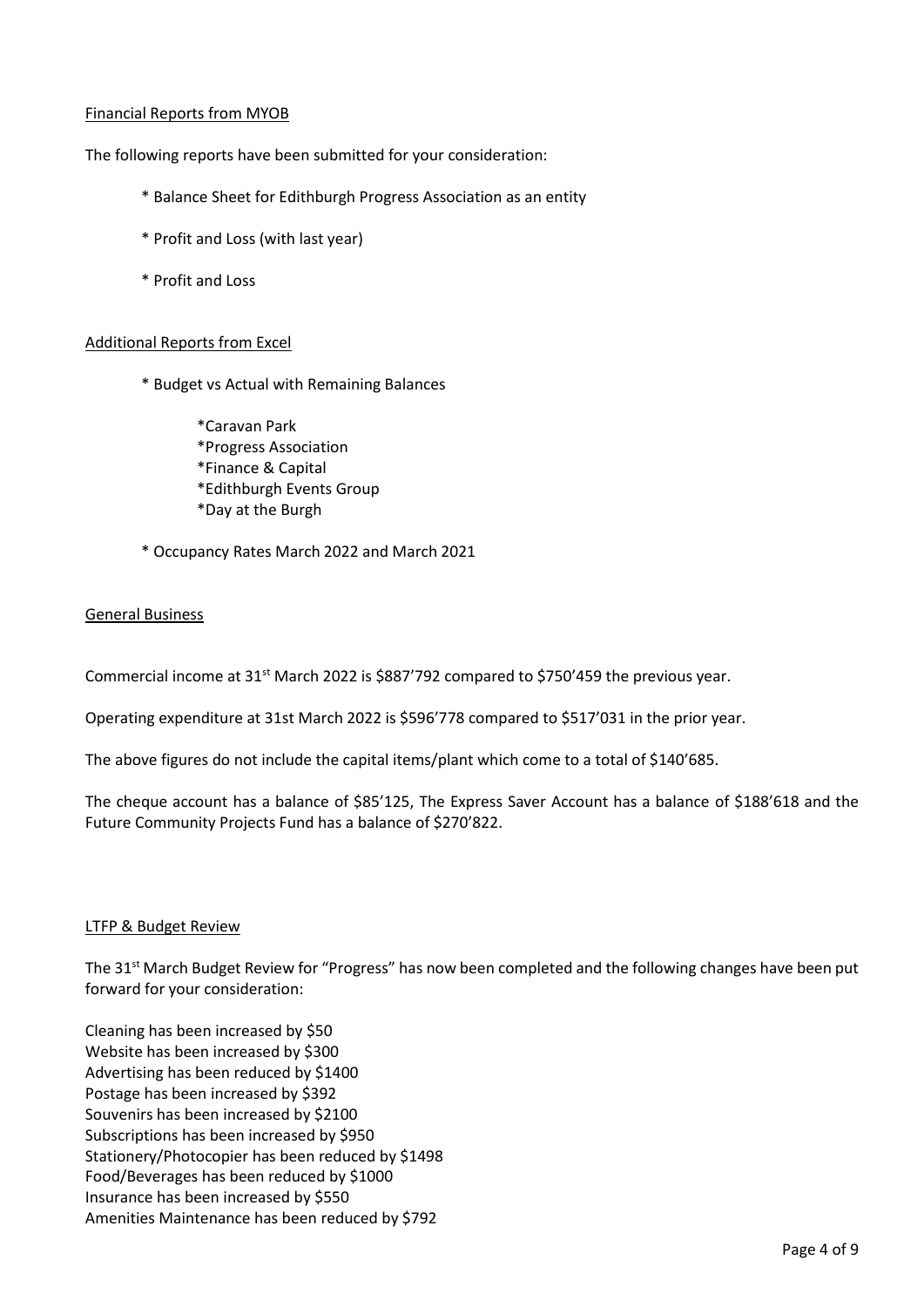# Financial Reports from MYOB

The following reports have been submitted for your consideration:

- \* Balance Sheet for Edithburgh Progress Association as an entity
- \* Profit and Loss (with last year)
- \* Profit and Loss

# Additional Reports from Excel

\* Budget vs Actual with Remaining Balances

\*Caravan Park \*Progress Association \*Finance & Capital \*Edithburgh Events Group \*Day at the Burgh

\* Occupancy Rates March 2022 and March 2021

# General Business

Commercial income at 31<sup>st</sup> March 2022 is \$887'792 compared to \$750'459 the previous year.

Operating expenditure at 31st March 2022 is \$596'778 compared to \$517'031 in the prior year.

The above figures do not include the capital items/plant which come to a total of \$140'685.

The cheque account has a balance of \$85'125, The Express Saver Account has a balance of \$188'618 and the Future Community Projects Fund has a balance of \$270'822.

# LTFP & Budget Review

The 31<sup>st</sup> March Budget Review for "Progress" has now been completed and the following changes have been put forward for your consideration:

Cleaning has been increased by \$50 Website has been increased by \$300 Advertising has been reduced by \$1400 Postage has been increased by \$392 Souvenirs has been increased by \$2100 Subscriptions has been increased by \$950 Stationery/Photocopier has been reduced by \$1498 Food/Beverages has been reduced by \$1000 Insurance has been increased by \$550 Amenities Maintenance has been reduced by \$792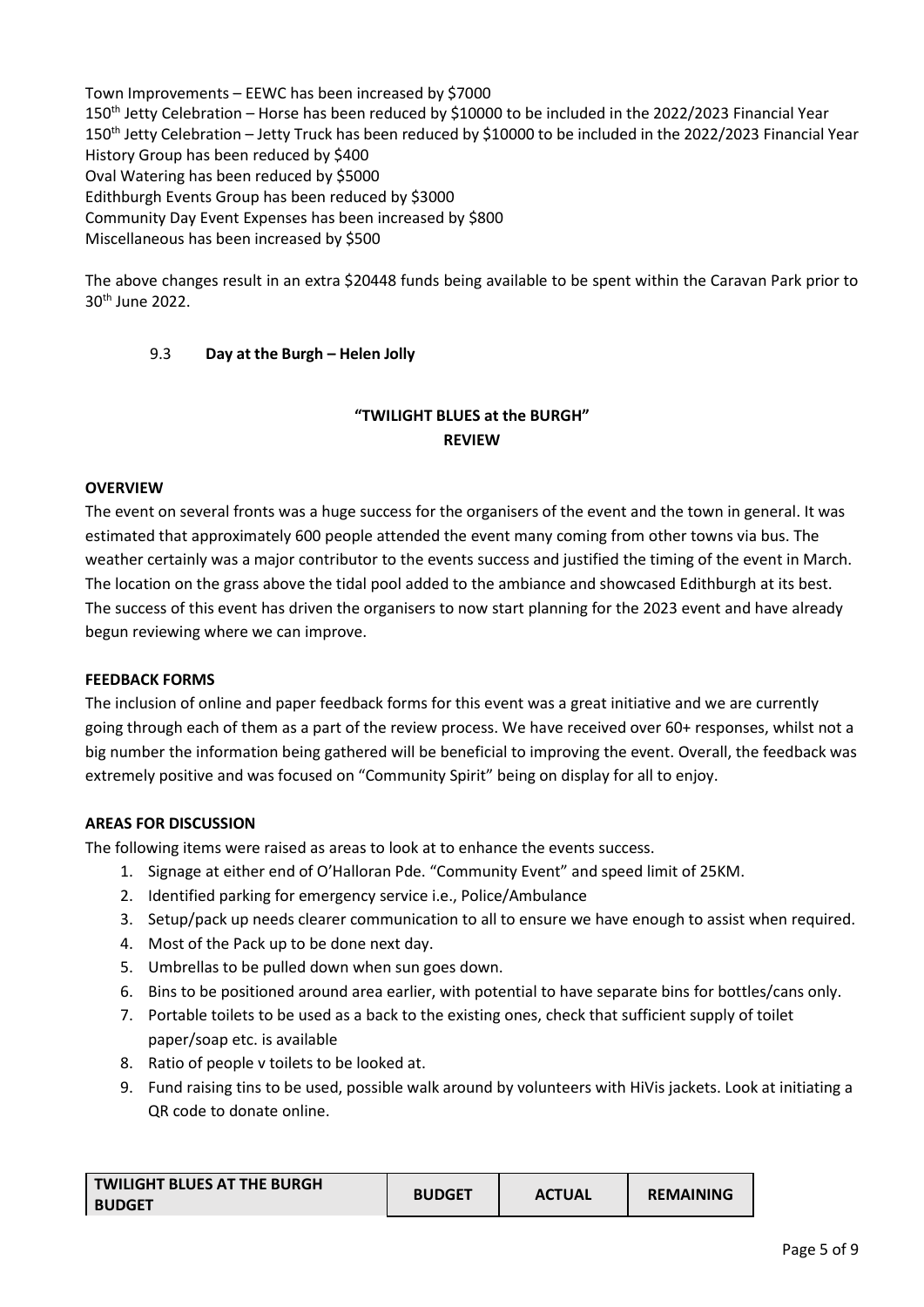Town Improvements – EEWC has been increased by \$7000 150<sup>th</sup> Jetty Celebration – Horse has been reduced by \$10000 to be included in the 2022/2023 Financial Year 150<sup>th</sup> Jetty Celebration - Jetty Truck has been reduced by \$10000 to be included in the 2022/2023 Financial Year History Group has been reduced by \$400 Oval Watering has been reduced by \$5000 Edithburgh Events Group has been reduced by \$3000 Community Day Event Expenses has been increased by \$800 Miscellaneous has been increased by \$500

The above changes result in an extra \$20448 funds being available to be spent within the Caravan Park prior to 30th June 2022.

# 9.3 **Day at the Burgh – Helen Jolly**

# **"TWILIGHT BLUES at the BURGH" REVIEW**

# **OVERVIEW**

The event on several fronts was a huge success for the organisers of the event and the town in general. It was estimated that approximately 600 people attended the event many coming from other towns via bus. The weather certainly was a major contributor to the events success and justified the timing of the event in March. The location on the grass above the tidal pool added to the ambiance and showcased Edithburgh at its best. The success of this event has driven the organisers to now start planning for the 2023 event and have already begun reviewing where we can improve.

# **FEEDBACK FORMS**

The inclusion of online and paper feedback forms for this event was a great initiative and we are currently going through each of them as a part of the review process. We have received over 60+ responses, whilst not a big number the information being gathered will be beneficial to improving the event. Overall, the feedback was extremely positive and was focused on "Community Spirit" being on display for all to enjoy.

# **AREAS FOR DISCUSSION**

The following items were raised as areas to look at to enhance the events success.

- 1. Signage at either end of O'Halloran Pde. "Community Event" and speed limit of 25KM.
- 2. Identified parking for emergency service i.e., Police/Ambulance
- 3. Setup/pack up needs clearer communication to all to ensure we have enough to assist when required.
- 4. Most of the Pack up to be done next day.
- 5. Umbrellas to be pulled down when sun goes down.
- 6. Bins to be positioned around area earlier, with potential to have separate bins for bottles/cans only.
- 7. Portable toilets to be used as a back to the existing ones, check that sufficient supply of toilet paper/soap etc. is available
- 8. Ratio of people v toilets to be looked at.
- 9. Fund raising tins to be used, possible walk around by volunteers with HiVis jackets. Look at initiating a QR code to donate online.

| <b>TWILIGHT BLUES AT THE BURGH</b> | <b>BUDGET</b> | <b>ACTUAL</b> | <b>REMAINING</b> |
|------------------------------------|---------------|---------------|------------------|
| <b>BUDGET</b>                      |               |               |                  |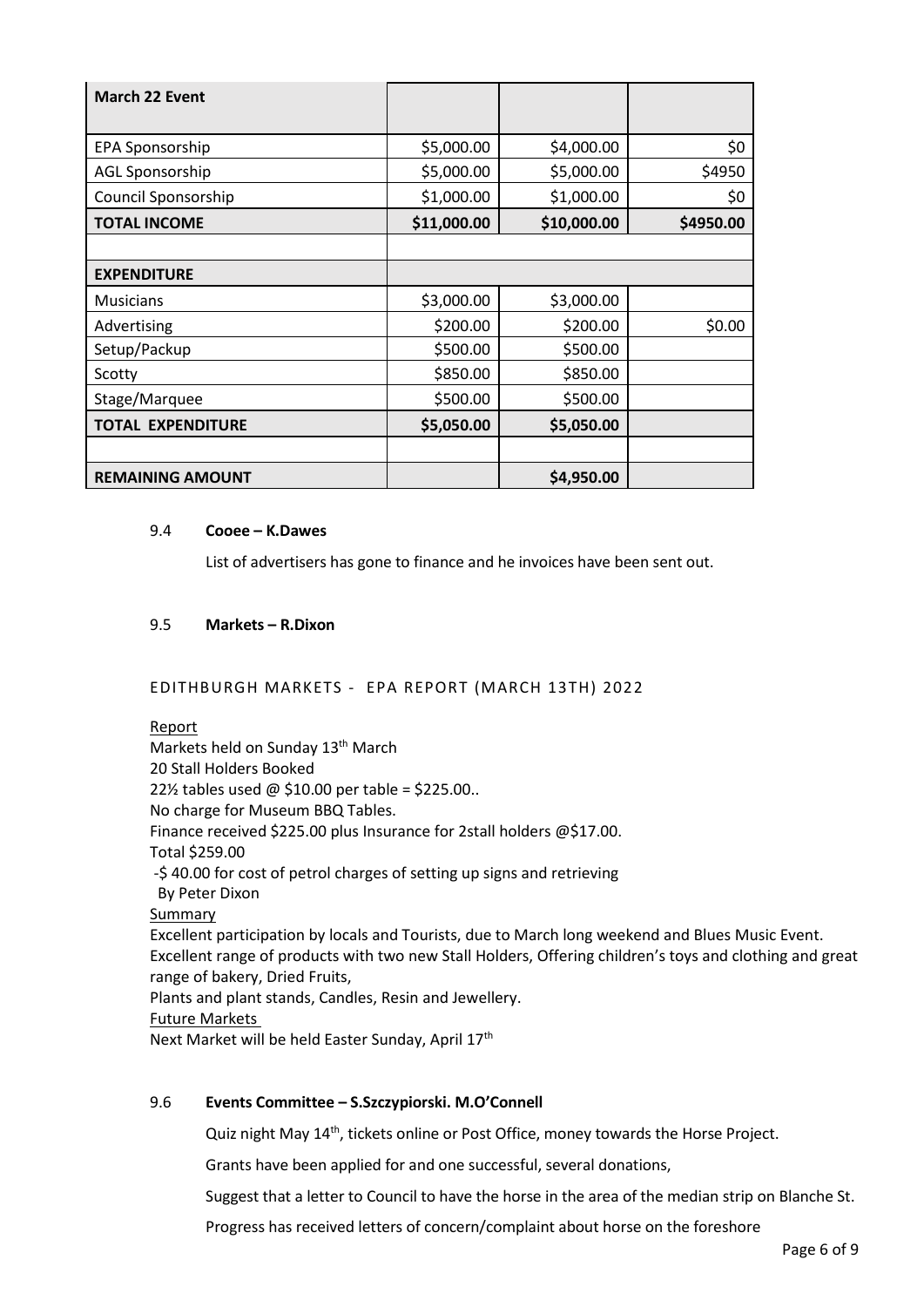| <b>March 22 Event</b>    |             |             |           |
|--------------------------|-------------|-------------|-----------|
| EPA Sponsorship          | \$5,000.00  | \$4,000.00  | \$0       |
| <b>AGL Sponsorship</b>   | \$5,000.00  | \$5,000.00  | \$4950    |
| Council Sponsorship      | \$1,000.00  | \$1,000.00  | \$0       |
| <b>TOTAL INCOME</b>      | \$11,000.00 | \$10,000.00 | \$4950.00 |
|                          |             |             |           |
| <b>EXPENDITURE</b>       |             |             |           |
| Musicians                | \$3,000.00  | \$3,000.00  |           |
| Advertising              | \$200.00    | \$200.00    | \$0.00    |
| Setup/Packup             | \$500.00    | \$500.00    |           |
| Scotty                   | \$850.00    | \$850.00    |           |
| Stage/Marquee            | \$500.00    | \$500.00    |           |
| <b>TOTAL EXPENDITURE</b> | \$5,050.00  | \$5,050.00  |           |
|                          |             |             |           |
| <b>REMAINING AMOUNT</b>  |             | \$4,950.00  |           |

### 9.4 **Cooee – K.Dawes**

List of advertisers has gone to finance and he invoices have been sent out.

# 9.5 **Markets – R.Dixon**

# EDITHBURGH MARKETS - EPA REPORT (MARCH 13TH) 2022

### Report

Markets held on Sunday 13<sup>th</sup> March 20 Stall Holders Booked 22½ tables used @ \$10.00 per table = \$225.00.. No charge for Museum BBQ Tables. Finance received \$225.00 plus Insurance for 2stall holders @\$17.00. Total \$259.00 -\$ 40.00 for cost of petrol charges of setting up signs and retrieving By Peter Dixon Summary Excellent participation by locals and Tourists, due to March long weekend and Blues Music Event. Excellent range of products with two new Stall Holders, Offering children's toys and clothing and great range of bakery, Dried Fruits, Plants and plant stands, Candles, Resin and Jewellery. Future Markets Next Market will be held Easter Sunday, April 17<sup>th</sup>

# 9.6 **Events Committee – S.Szczypiorski. M.O'Connell**

Quiz night May 14<sup>th</sup>, tickets online or Post Office, money towards the Horse Project.

Grants have been applied for and one successful, several donations,

Suggest that a letter to Council to have the horse in the area of the median strip on Blanche St.

Progress has received letters of concern/complaint about horse on the foreshore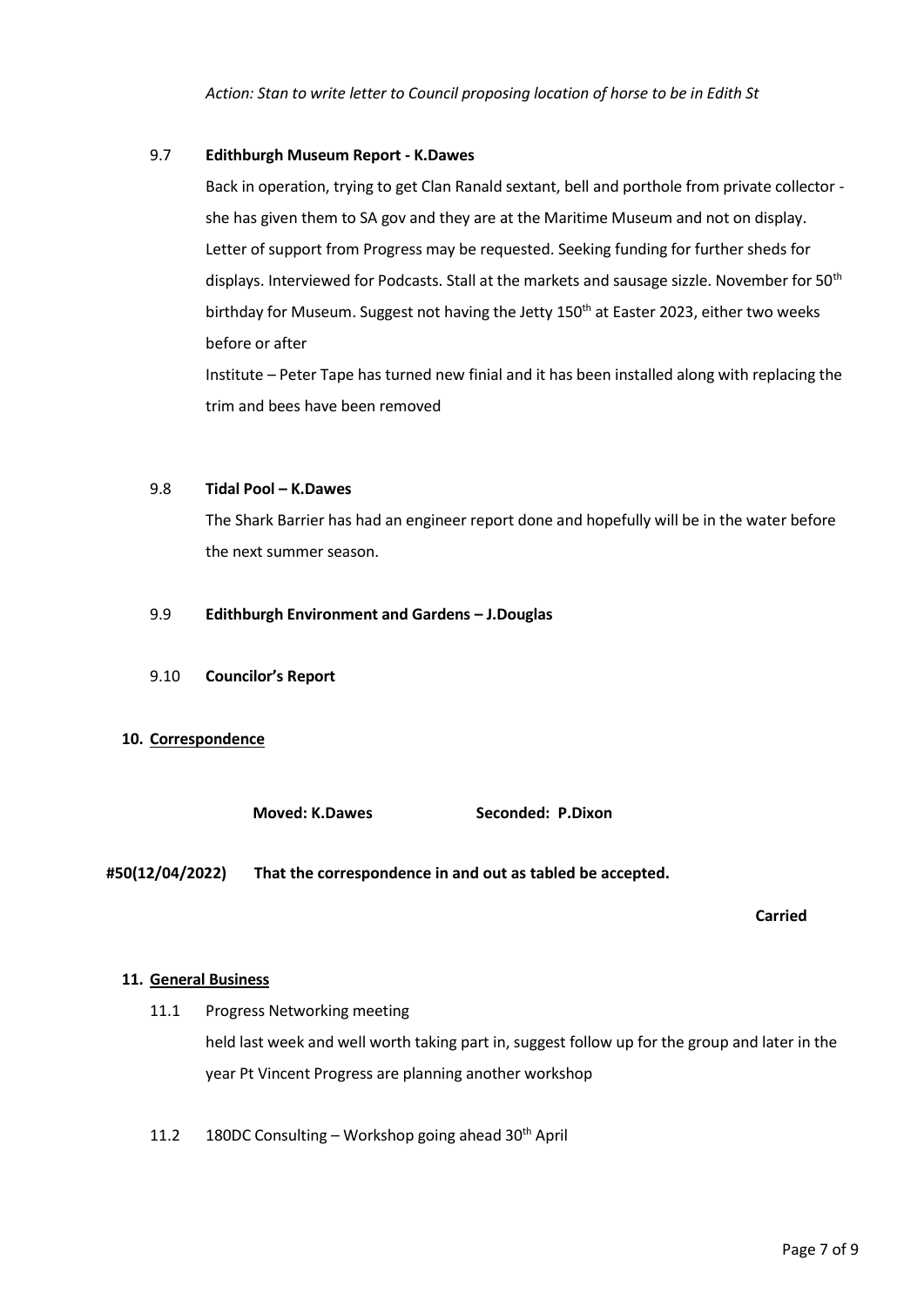*Action: Stan to write letter to Council proposing location of horse to be in Edith St*

### 9.7 **Edithburgh Museum Report - K.Dawes**

Back in operation, trying to get Clan Ranald sextant, bell and porthole from private collector she has given them to SA gov and they are at the Maritime Museum and not on display. Letter of support from Progress may be requested. Seeking funding for further sheds for displays. Interviewed for Podcasts. Stall at the markets and sausage sizzle. November for 50<sup>th</sup> birthday for Museum. Suggest not having the Jetty 150<sup>th</sup> at Easter 2023, either two weeks before or after

Institute – Peter Tape has turned new finial and it has been installed along with replacing the trim and bees have been removed

### 9.8 **Tidal Pool – K.Dawes**

The Shark Barrier has had an engineer report done and hopefully will be in the water before the next summer season.

### 9.9 **Edithburgh Environment and Gardens – J.Douglas**

9.10 **Councilor's Report**

# **10. Correspondence**

**Moved: K.Dawes Seconded: P.Dixon** 

**#50(12/04/2022) That the correspondence in and out as tabled be accepted.**

**Carried**

# **11. General Business**

- 11.1 Progress Networking meeting held last week and well worth taking part in, suggest follow up for the group and later in the year Pt Vincent Progress are planning another workshop
- 11.2 180DC Consulting Workshop going ahead  $30<sup>th</sup>$  April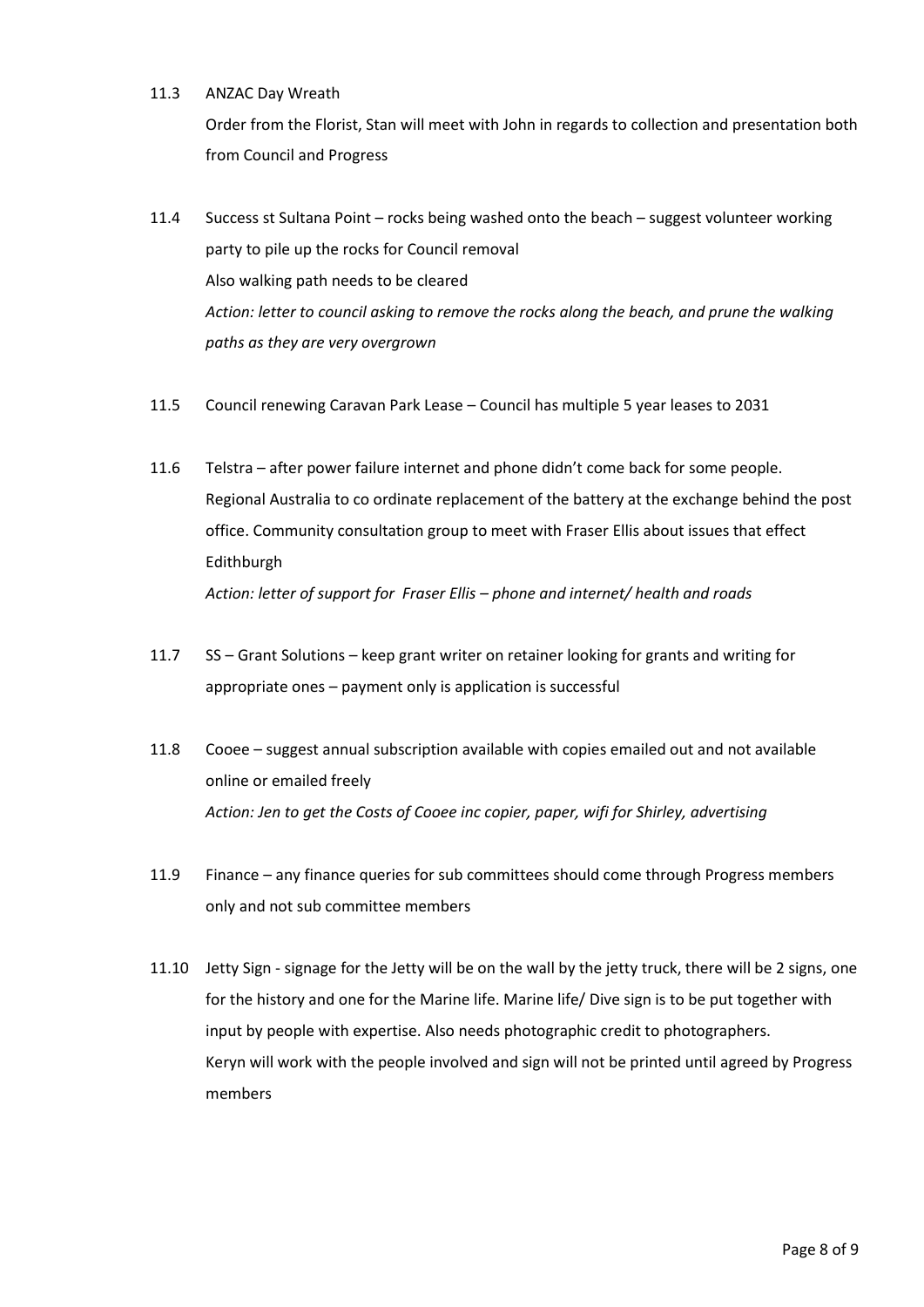# 11.3 ANZAC Day Wreath

Order from the Florist, Stan will meet with John in regards to collection and presentation both from Council and Progress

- 11.4 Success st Sultana Point rocks being washed onto the beach suggest volunteer working party to pile up the rocks for Council removal Also walking path needs to be cleared *Action: letter to council asking to remove the rocks along the beach, and prune the walking paths as they are very overgrown*
- 11.5 Council renewing Caravan Park Lease Council has multiple 5 year leases to 2031
- 11.6 Telstra after power failure internet and phone didn't come back for some people. Regional Australia to co ordinate replacement of the battery at the exchange behind the post office. Community consultation group to meet with Fraser Ellis about issues that effect Edithburgh *Action: letter of support for Fraser Ellis – phone and internet/ health and roads*
- 11.7 SS Grant Solutions keep grant writer on retainer looking for grants and writing for appropriate ones – payment only is application is successful
- 11.8 Cooee suggest annual subscription available with copies emailed out and not available online or emailed freely *Action: Jen to get the Costs of Cooee inc copier, paper, wifi for Shirley, advertising*
- 11.9 Finance any finance queries for sub committees should come through Progress members only and not sub committee members
- 11.10 Jetty Sign signage for the Jetty will be on the wall by the jetty truck, there will be 2 signs, one for the history and one for the Marine life. Marine life/ Dive sign is to be put together with input by people with expertise. Also needs photographic credit to photographers. Keryn will work with the people involved and sign will not be printed until agreed by Progress members